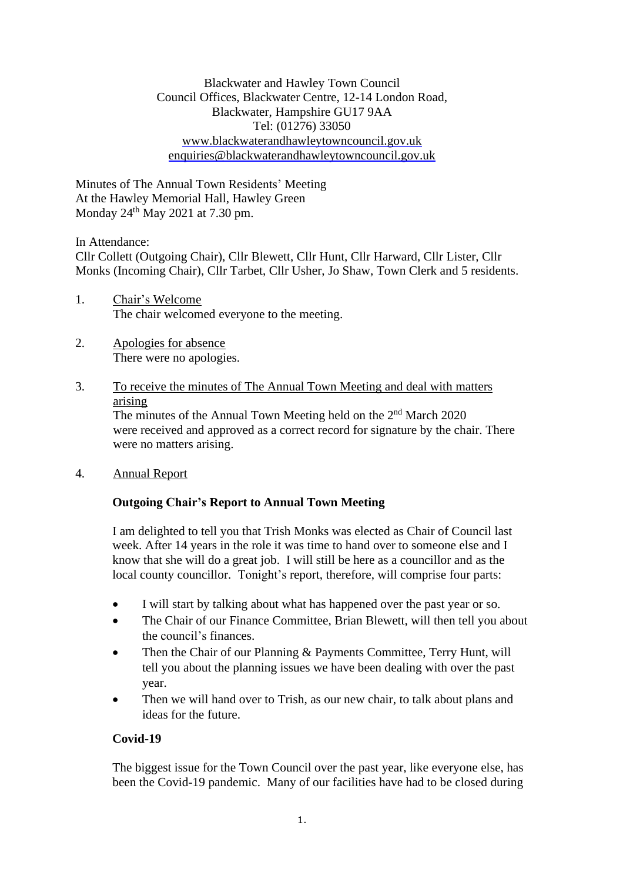Blackwater and Hawley Town Council Council Offices, Blackwater Centre, 12-14 London Road, Blackwater, Hampshire GU17 9AA Tel: (01276) 33050 [www.blackwaterandhawleytowncouncil.gov.uk](http://www.blackwaterandhawleytowncouncil.gov.uk/) [enquiries@blackwaterandhawleytowncouncil.gov.uk](mailto:enquiries@blackwaterandhawleytowncouncil.gov.uk)

Minutes of The Annual Town Residents' Meeting At the Hawley Memorial Hall, Hawley Green Monday  $24<sup>th</sup>$  May 2021 at 7.30 pm.

In Attendance:

Cllr Collett (Outgoing Chair), Cllr Blewett, Cllr Hunt, Cllr Harward, Cllr Lister, Cllr Monks (Incoming Chair), Cllr Tarbet, Cllr Usher, Jo Shaw, Town Clerk and 5 residents.

- 1. Chair's Welcome The chair welcomed everyone to the meeting.
- 2. Apologies for absence There were no apologies.

# 3. To receive the minutes of The Annual Town Meeting and deal with matters arising

The minutes of the Annual Town Meeting held on the  $2<sup>nd</sup>$  March 2020 were received and approved as a correct record for signature by the chair. There were no matters arising.

### 4. Annual Report

## **Outgoing Chair's Report to Annual Town Meeting**

I am delighted to tell you that Trish Monks was elected as Chair of Council last week. After 14 years in the role it was time to hand over to someone else and I know that she will do a great job. I will still be here as a councillor and as the local county councillor. Tonight's report, therefore, will comprise four parts:

- I will start by talking about what has happened over the past year or so.
- The Chair of our Finance Committee, Brian Blewett, will then tell you about the council's finances.
- Then the Chair of our Planning & Payments Committee, Terry Hunt, will tell you about the planning issues we have been dealing with over the past year.
- Then we will hand over to Trish, as our new chair, to talk about plans and ideas for the future.

## **Covid-19**

The biggest issue for the Town Council over the past year, like everyone else, has been the Covid-19 pandemic. Many of our facilities have had to be closed during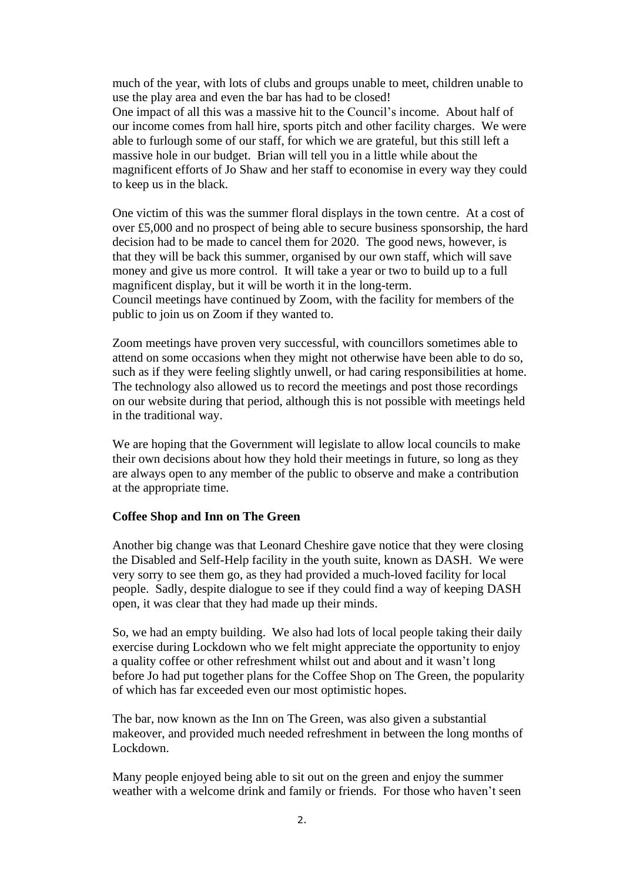much of the year, with lots of clubs and groups unable to meet, children unable to use the play area and even the bar has had to be closed! One impact of all this was a massive hit to the Council's income. About half of our income comes from hall hire, sports pitch and other facility charges. We were able to furlough some of our staff, for which we are grateful, but this still left a massive hole in our budget. Brian will tell you in a little while about the magnificent efforts of Jo Shaw and her staff to economise in every way they could to keep us in the black.

One victim of this was the summer floral displays in the town centre. At a cost of over £5,000 and no prospect of being able to secure business sponsorship, the hard decision had to be made to cancel them for 2020. The good news, however, is that they will be back this summer, organised by our own staff, which will save money and give us more control. It will take a year or two to build up to a full magnificent display, but it will be worth it in the long-term. Council meetings have continued by Zoom, with the facility for members of the

public to join us on Zoom if they wanted to.

Zoom meetings have proven very successful, with councillors sometimes able to attend on some occasions when they might not otherwise have been able to do so, such as if they were feeling slightly unwell, or had caring responsibilities at home. The technology also allowed us to record the meetings and post those recordings on our website during that period, although this is not possible with meetings held in the traditional way.

We are hoping that the Government will legislate to allow local councils to make their own decisions about how they hold their meetings in future, so long as they are always open to any member of the public to observe and make a contribution at the appropriate time.

### **Coffee Shop and Inn on The Green**

Another big change was that Leonard Cheshire gave notice that they were closing the Disabled and Self-Help facility in the youth suite, known as DASH. We were very sorry to see them go, as they had provided a much-loved facility for local people. Sadly, despite dialogue to see if they could find a way of keeping DASH open, it was clear that they had made up their minds.

So, we had an empty building. We also had lots of local people taking their daily exercise during Lockdown who we felt might appreciate the opportunity to enjoy a quality coffee or other refreshment whilst out and about and it wasn't long before Jo had put together plans for the Coffee Shop on The Green, the popularity of which has far exceeded even our most optimistic hopes.

The bar, now known as the Inn on The Green, was also given a substantial makeover, and provided much needed refreshment in between the long months of Lockdown.

Many people enjoyed being able to sit out on the green and enjoy the summer weather with a welcome drink and family or friends. For those who haven't seen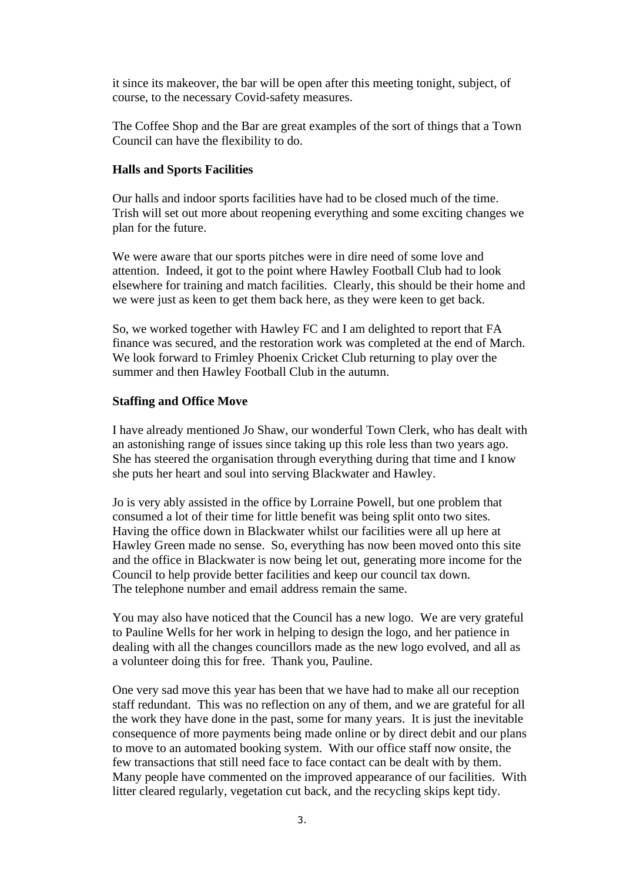it since its makeover, the bar will be open after this meeting tonight, subject, of course, to the necessary Covid-safety measures.

The Coffee Shop and the Bar are great examples of the sort of things that a Town Council can have the flexibility to do.

#### **Halls and Sports Facilities**

Our halls and indoor sports facilities have had to be closed much of the time. Trish will set out more about reopening everything and some exciting changes we plan for the future.

We were aware that our sports pitches were in dire need of some love and attention. Indeed, it got to the point where Hawley Football Club had to look elsewhere for training and match facilities. Clearly, this should be their home and we were just as keen to get them back here, as they were keen to get back.

So, we worked together with Hawley FC and I am delighted to report that FA finance was secured, and the restoration work was completed at the end of March. We look forward to Frimley Phoenix Cricket Club returning to play over the summer and then Hawley Football Club in the autumn.

#### **Staffing and Office Move**

I have already mentioned Jo Shaw, our wonderful Town Clerk, who has dealt with an astonishing range of issues since taking up this role less than two years ago. She has steered the organisation through everything during that time and I know she puts her heart and soul into serving Blackwater and Hawley.

Jo is very ably assisted in the office by Lorraine Powell, but one problem that consumed a lot of their time for little benefit was being split onto two sites. Having the office down in Blackwater whilst our facilities were all up here at Hawley Green made no sense. So, everything has now been moved onto this site and the office in Blackwater is now being let out, generating more income for the Council to help provide better facilities and keep our council tax down. The telephone number and email address remain the same.

You may also have noticed that the Council has a new logo. We are very grateful to Pauline Wells for her work in helping to design the logo, and her patience in dealing with all the changes councillors made as the new logo evolved, and all as a volunteer doing this for free. Thank you, Pauline.

One very sad move this year has been that we have had to make all our reception staff redundant. This was no reflection on any of them, and we are grateful for all the work they have done in the past, some for many years. It is just the inevitable consequence of more payments being made online or by direct debit and our plans to move to an automated booking system. With our office staff now onsite, the few transactions that still need face to face contact can be dealt with by them. Many people have commented on the improved appearance of our facilities. With litter cleared regularly, vegetation cut back, and the recycling skips kept tidy.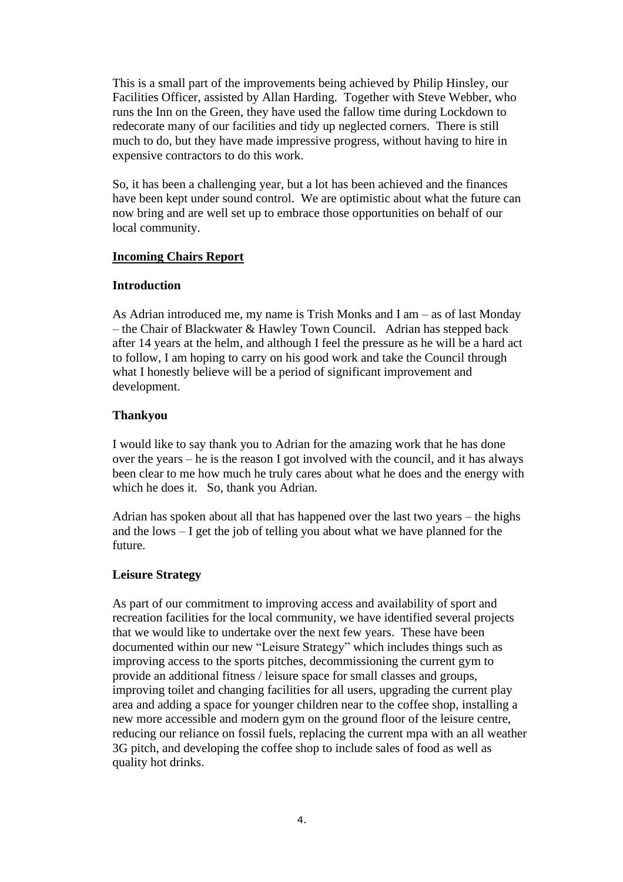This is a small part of the improvements being achieved by Philip Hinsley, our Facilities Officer, assisted by Allan Harding. Together with Steve Webber, who runs the Inn on the Green, they have used the fallow time during Lockdown to redecorate many of our facilities and tidy up neglected corners. There is still much to do, but they have made impressive progress, without having to hire in expensive contractors to do this work.

So, it has been a challenging year, but a lot has been achieved and the finances have been kept under sound control. We are optimistic about what the future can now bring and are well set up to embrace those opportunities on behalf of our local community.

### **Incoming Chairs Report**

#### **Introduction**

As Adrian introduced me, my name is Trish Monks and I am – as of last Monday – the Chair of Blackwater & Hawley Town Council. Adrian has stepped back after 14 years at the helm, and although I feel the pressure as he will be a hard act to follow, I am hoping to carry on his good work and take the Council through what I honestly believe will be a period of significant improvement and development.

### **Thankyou**

I would like to say thank you to Adrian for the amazing work that he has done over the years – he is the reason I got involved with the council, and it has always been clear to me how much he truly cares about what he does and the energy with which he does it. So, thank you Adrian.

Adrian has spoken about all that has happened over the last two years – the highs and the lows – I get the job of telling you about what we have planned for the future.

### **Leisure Strategy**

As part of our commitment to improving access and availability of sport and recreation facilities for the local community, we have identified several projects that we would like to undertake over the next few years. These have been documented within our new "Leisure Strategy" which includes things such as improving access to the sports pitches, decommissioning the current gym to provide an additional fitness / leisure space for small classes and groups, improving toilet and changing facilities for all users, upgrading the current play area and adding a space for younger children near to the coffee shop, installing a new more accessible and modern gym on the ground floor of the leisure centre, reducing our reliance on fossil fuels, replacing the current mpa with an all weather 3G pitch, and developing the coffee shop to include sales of food as well as quality hot drinks.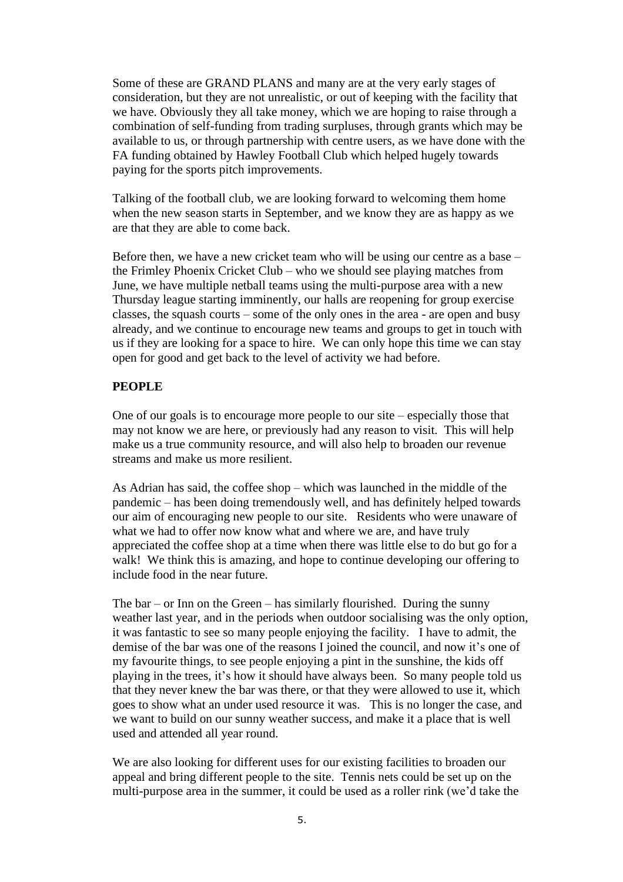Some of these are GRAND PLANS and many are at the very early stages of consideration, but they are not unrealistic, or out of keeping with the facility that we have. Obviously they all take money, which we are hoping to raise through a combination of self-funding from trading surpluses, through grants which may be available to us, or through partnership with centre users, as we have done with the FA funding obtained by Hawley Football Club which helped hugely towards paying for the sports pitch improvements.

Talking of the football club, we are looking forward to welcoming them home when the new season starts in September, and we know they are as happy as we are that they are able to come back.

Before then, we have a new cricket team who will be using our centre as a base – the Frimley Phoenix Cricket Club – who we should see playing matches from June, we have multiple netball teams using the multi-purpose area with a new Thursday league starting imminently, our halls are reopening for group exercise classes, the squash courts – some of the only ones in the area - are open and busy already, and we continue to encourage new teams and groups to get in touch with us if they are looking for a space to hire. We can only hope this time we can stay open for good and get back to the level of activity we had before.

## **PEOPLE**

One of our goals is to encourage more people to our site – especially those that may not know we are here, or previously had any reason to visit. This will help make us a true community resource, and will also help to broaden our revenue streams and make us more resilient.

As Adrian has said, the coffee shop – which was launched in the middle of the pandemic – has been doing tremendously well, and has definitely helped towards our aim of encouraging new people to our site. Residents who were unaware of what we had to offer now know what and where we are, and have truly appreciated the coffee shop at a time when there was little else to do but go for a walk! We think this is amazing, and hope to continue developing our offering to include food in the near future.

The  $bar - or$  Inn on the Green – has similarly flourished. During the sunny weather last year, and in the periods when outdoor socialising was the only option, it was fantastic to see so many people enjoying the facility. I have to admit, the demise of the bar was one of the reasons I joined the council, and now it's one of my favourite things, to see people enjoying a pint in the sunshine, the kids off playing in the trees, it's how it should have always been. So many people told us that they never knew the bar was there, or that they were allowed to use it, which goes to show what an under used resource it was. This is no longer the case, and we want to build on our sunny weather success, and make it a place that is well used and attended all year round.

We are also looking for different uses for our existing facilities to broaden our appeal and bring different people to the site. Tennis nets could be set up on the multi-purpose area in the summer, it could be used as a roller rink (we'd take the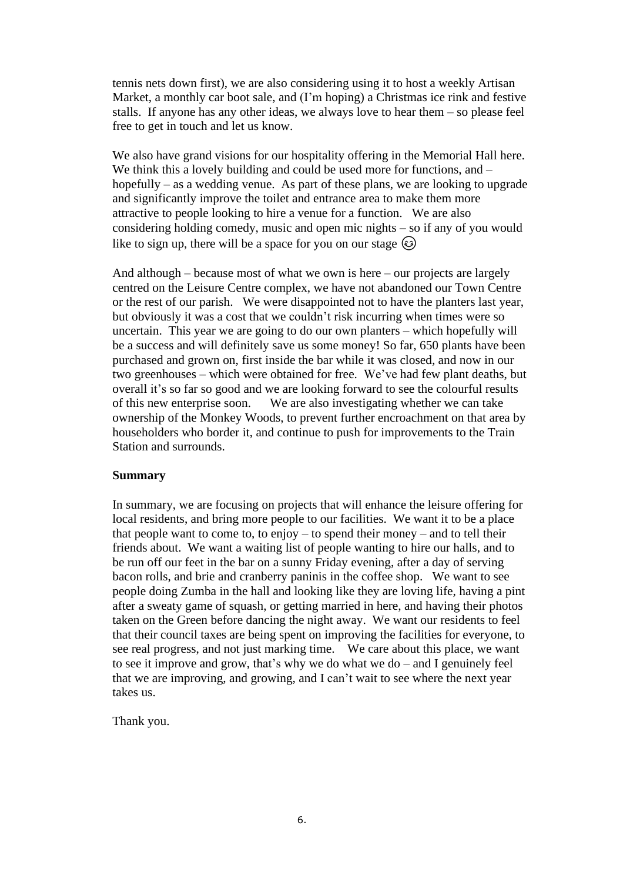tennis nets down first), we are also considering using it to host a weekly Artisan Market, a monthly car boot sale, and (I'm hoping) a Christmas ice rink and festive stalls. If anyone has any other ideas, we always love to hear them – so please feel free to get in touch and let us know.

We also have grand visions for our hospitality offering in the Memorial Hall here. We think this a lovely building and could be used more for functions, and – hopefully – as a wedding venue. As part of these plans, we are looking to upgrade and significantly improve the toilet and entrance area to make them more attractive to people looking to hire a venue for a function. We are also considering holding comedy, music and open mic nights – so if any of you would like to sign up, there will be a space for you on our stage  $\odot$ 

And although – because most of what we own is here – our projects are largely centred on the Leisure Centre complex, we have not abandoned our Town Centre or the rest of our parish. We were disappointed not to have the planters last year, but obviously it was a cost that we couldn't risk incurring when times were so uncertain. This year we are going to do our own planters – which hopefully will be a success and will definitely save us some money! So far, 650 plants have been purchased and grown on, first inside the bar while it was closed, and now in our two greenhouses – which were obtained for free. We've had few plant deaths, but overall it's so far so good and we are looking forward to see the colourful results of this new enterprise soon. We are also investigating whether we can take ownership of the Monkey Woods, to prevent further encroachment on that area by householders who border it, and continue to push for improvements to the Train Station and surrounds.

#### **Summary**

In summary, we are focusing on projects that will enhance the leisure offering for local residents, and bring more people to our facilities. We want it to be a place that people want to come to, to enjoy – to spend their money – and to tell their friends about. We want a waiting list of people wanting to hire our halls, and to be run off our feet in the bar on a sunny Friday evening, after a day of serving bacon rolls, and brie and cranberry paninis in the coffee shop. We want to see people doing Zumba in the hall and looking like they are loving life, having a pint after a sweaty game of squash, or getting married in here, and having their photos taken on the Green before dancing the night away. We want our residents to feel that their council taxes are being spent on improving the facilities for everyone, to see real progress, and not just marking time. We care about this place, we want to see it improve and grow, that's why we do what we do – and I genuinely feel that we are improving, and growing, and I can't wait to see where the next year takes us.

Thank you.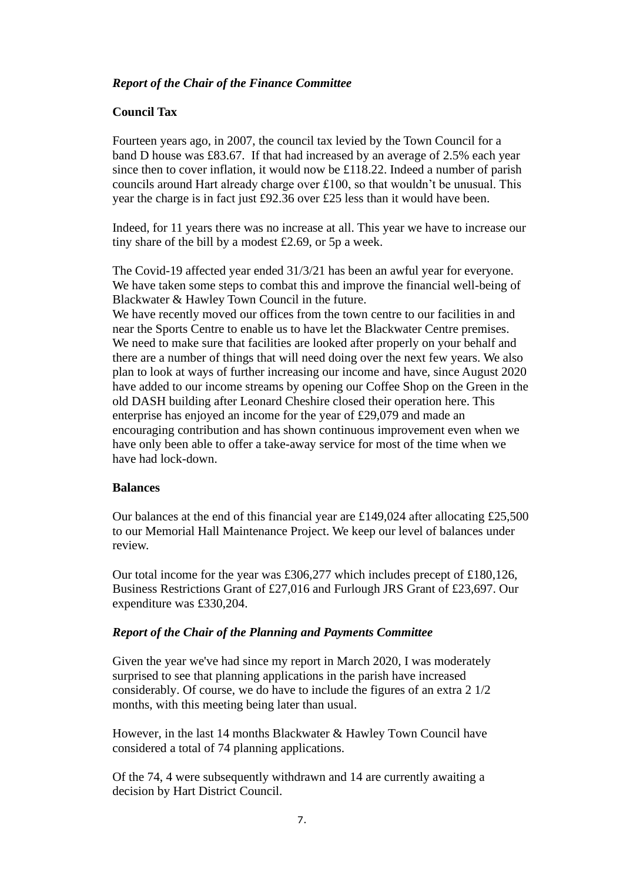## *Report of the Chair of the Finance Committee*

### **Council Tax**

Fourteen years ago, in 2007, the council tax levied by the Town Council for a band D house was £83.67. If that had increased by an average of 2.5% each year since then to cover inflation, it would now be £118.22. Indeed a number of parish councils around Hart already charge over £100, so that wouldn't be unusual. This year the charge is in fact just £92.36 over £25 less than it would have been.

Indeed, for 11 years there was no increase at all. This year we have to increase our tiny share of the bill by a modest £2.69, or 5p a week.

The Covid-19 affected year ended 31/3/21 has been an awful year for everyone. We have taken some steps to combat this and improve the financial well-being of Blackwater & Hawley Town Council in the future.

We have recently moved our offices from the town centre to our facilities in and near the Sports Centre to enable us to have let the Blackwater Centre premises. We need to make sure that facilities are looked after properly on your behalf and there are a number of things that will need doing over the next few years. We also plan to look at ways of further increasing our income and have, since August 2020 have added to our income streams by opening our Coffee Shop on the Green in the old DASH building after Leonard Cheshire closed their operation here. This enterprise has enjoyed an income for the year of £29,079 and made an encouraging contribution and has shown continuous improvement even when we have only been able to offer a take-away service for most of the time when we have had lock-down.

### **Balances**

Our balances at the end of this financial year are £149,024 after allocating £25,500 to our Memorial Hall Maintenance Project. We keep our level of balances under review.

Our total income for the year was £306,277 which includes precept of £180,126, Business Restrictions Grant of £27,016 and Furlough JRS Grant of £23,697. Our expenditure was £330,204.

### *Report of the Chair of the Planning and Payments Committee*

Given the year we've had since my report in March 2020, I was moderately surprised to see that planning applications in the parish have increased considerably. Of course, we do have to include the figures of an extra 2 1/2 months, with this meeting being later than usual.

However, in the last 14 months Blackwater & Hawley Town Council have considered a total of 74 planning applications.

Of the 74, 4 were subsequently withdrawn and 14 are currently awaiting a decision by Hart District Council.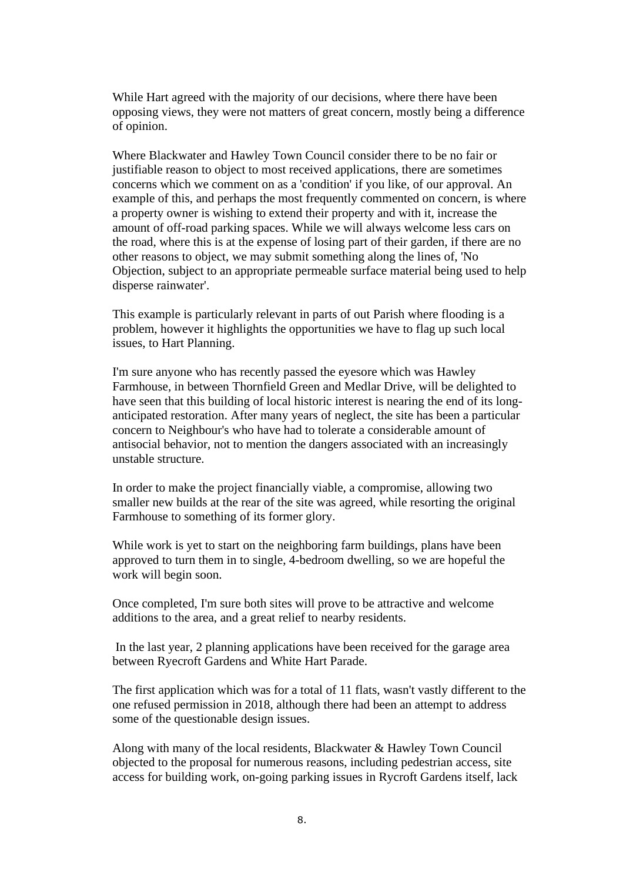While Hart agreed with the majority of our decisions, where there have been opposing views, they were not matters of great concern, mostly being a difference of opinion.

Where Blackwater and Hawley Town Council consider there to be no fair or justifiable reason to object to most received applications, there are sometimes concerns which we comment on as a 'condition' if you like, of our approval. An example of this, and perhaps the most frequently commented on concern, is where a property owner is wishing to extend their property and with it, increase the amount of off-road parking spaces. While we will always welcome less cars on the road, where this is at the expense of losing part of their garden, if there are no other reasons to object, we may submit something along the lines of, 'No Objection, subject to an appropriate permeable surface material being used to help disperse rainwater'.

This example is particularly relevant in parts of out Parish where flooding is a problem, however it highlights the opportunities we have to flag up such local issues, to Hart Planning.

I'm sure anyone who has recently passed the eyesore which was Hawley Farmhouse, in between Thornfield Green and Medlar Drive, will be delighted to have seen that this building of local historic interest is nearing the end of its longanticipated restoration. After many years of neglect, the site has been a particular concern to Neighbour's who have had to tolerate a considerable amount of antisocial behavior, not to mention the dangers associated with an increasingly unstable structure.

In order to make the project financially viable, a compromise, allowing two smaller new builds at the rear of the site was agreed, while resorting the original Farmhouse to something of its former glory.

While work is yet to start on the neighboring farm buildings, plans have been approved to turn them in to single, 4-bedroom dwelling, so we are hopeful the work will begin soon.

Once completed, I'm sure both sites will prove to be attractive and welcome additions to the area, and a great relief to nearby residents.

In the last year, 2 planning applications have been received for the garage area between Ryecroft Gardens and White Hart Parade.

The first application which was for a total of 11 flats, wasn't vastly different to the one refused permission in 2018, although there had been an attempt to address some of the questionable design issues.

Along with many of the local residents, Blackwater & Hawley Town Council objected to the proposal for numerous reasons, including pedestrian access, site access for building work, on-going parking issues in Rycroft Gardens itself, lack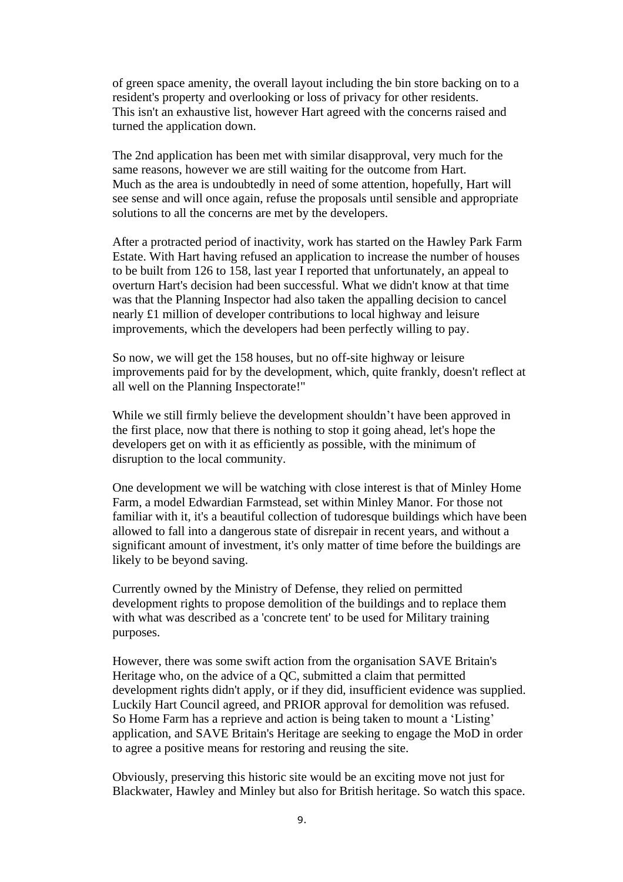of green space amenity, the overall layout including the bin store backing on to a resident's property and overlooking or loss of privacy for other residents. This isn't an exhaustive list, however Hart agreed with the concerns raised and turned the application down.

The 2nd application has been met with similar disapproval, very much for the same reasons, however we are still waiting for the outcome from Hart. Much as the area is undoubtedly in need of some attention, hopefully, Hart will see sense and will once again, refuse the proposals until sensible and appropriate solutions to all the concerns are met by the developers.

After a protracted period of inactivity, work has started on the Hawley Park Farm Estate. With Hart having refused an application to increase the number of houses to be built from 126 to 158, last year I reported that unfortunately, an appeal to overturn Hart's decision had been successful. What we didn't know at that time was that the Planning Inspector had also taken the appalling decision to cancel nearly £1 million of developer contributions to local highway and leisure improvements, which the developers had been perfectly willing to pay.

So now, we will get the 158 houses, but no off-site highway or leisure improvements paid for by the development, which, quite frankly, doesn't reflect at all well on the Planning Inspectorate!"

While we still firmly believe the development shouldn't have been approved in the first place, now that there is nothing to stop it going ahead, let's hope the developers get on with it as efficiently as possible, with the minimum of disruption to the local community.

One development we will be watching with close interest is that of Minley Home Farm, a model Edwardian Farmstead, set within Minley Manor. For those not familiar with it, it's a beautiful collection of tudoresque buildings which have been allowed to fall into a dangerous state of disrepair in recent years, and without a significant amount of investment, it's only matter of time before the buildings are likely to be beyond saving.

Currently owned by the Ministry of Defense, they relied on permitted development rights to propose demolition of the buildings and to replace them with what was described as a 'concrete tent' to be used for Military training purposes.

However, there was some swift action from the organisation SAVE Britain's Heritage who, on the advice of a QC, submitted a claim that permitted development rights didn't apply, or if they did, insufficient evidence was supplied. Luckily Hart Council agreed, and PRIOR approval for demolition was refused. So Home Farm has a reprieve and action is being taken to mount a 'Listing' application, and SAVE Britain's Heritage are seeking to engage the MoD in order to agree a positive means for restoring and reusing the site.

Obviously, preserving this historic site would be an exciting move not just for Blackwater, Hawley and Minley but also for British heritage. So watch this space.